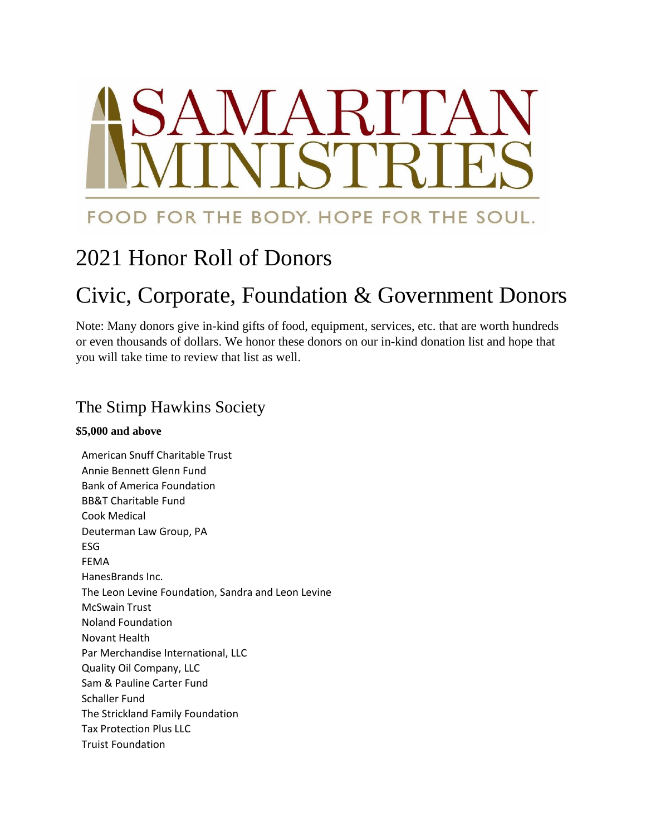# **NARI**

# FOOD FOR THE BODY. HOPE FOR THE SOUL.

# 2021 Honor Roll of Donors

# Civic, Corporate, Foundation & Government Donors

Note: Many donors give in-kind gifts of food, equipment, services, etc. that are worth hundreds or even thousands of dollars. We honor these donors on our in-kind donation list and hope that you will take time to review that list as well.

# The Stimp Hawkins Society

#### **\$5,000 and above**

American Snuff Charitable Trust Annie Bennett Glenn Fund Bank of America Foundation BB&T Charitable Fund Cook Medical Deuterman Law Group, PA ESG FEMA HanesBrands Inc. The Leon Levine Foundation, Sandra and Leon Levine McSwain Trust Noland Foundation Novant Health Par Merchandise International, LLC Quality Oil Company, LLC Sam & Pauline Carter Fund Schaller Fund The Strickland Family Foundation Tax Protection Plus LLC Truist Foundation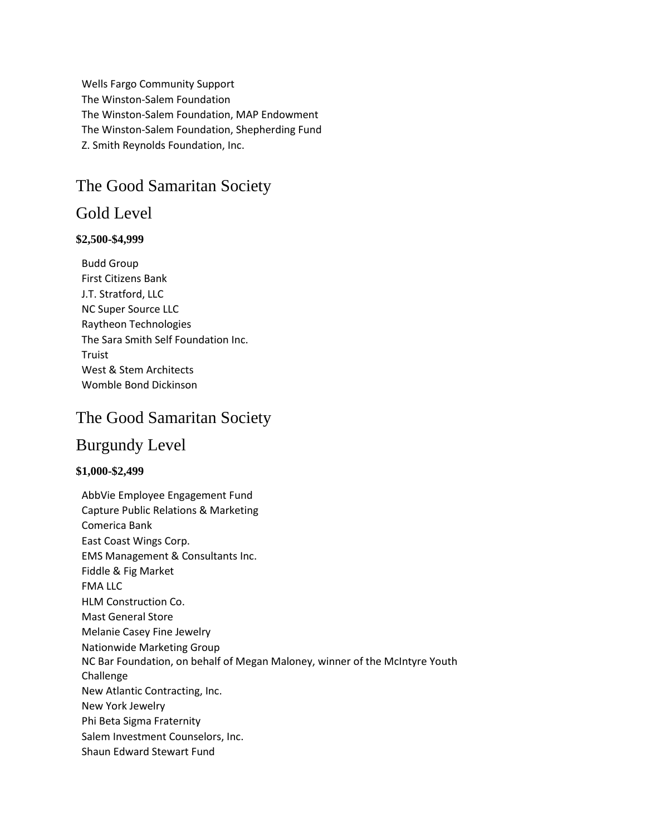Wells Fargo Community Support The Winston-Salem Foundation The Winston-Salem Foundation, MAP Endowment The Winston-Salem Foundation, Shepherding Fund Z. Smith Reynolds Foundation, Inc.

# The Good Samaritan Society

# Gold Level

#### **\$2,500-\$4,999**

Budd Group First Citizens Bank J.T. Stratford, LLC NC Super Source LLC Raytheon Technologies The Sara Smith Self Foundation Inc. Truist West & Stem Architects Womble Bond Dickinson

# The Good Samaritan Society

# Burgundy Level

#### **\$1,000-\$2,499**

AbbVie Employee Engagement Fund Capture Public Relations & Marketing Comerica Bank East Coast Wings Corp. EMS Management & Consultants Inc. Fiddle & Fig Market FMA LLC HLM Construction Co. Mast General Store Melanie Casey Fine Jewelry Nationwide Marketing Group NC Bar Foundation, on behalf of Megan Maloney, winner of the McIntyre Youth Challenge New Atlantic Contracting, Inc. New York Jewelry Phi Beta Sigma Fraternity Salem Investment Counselors, Inc. Shaun Edward Stewart Fund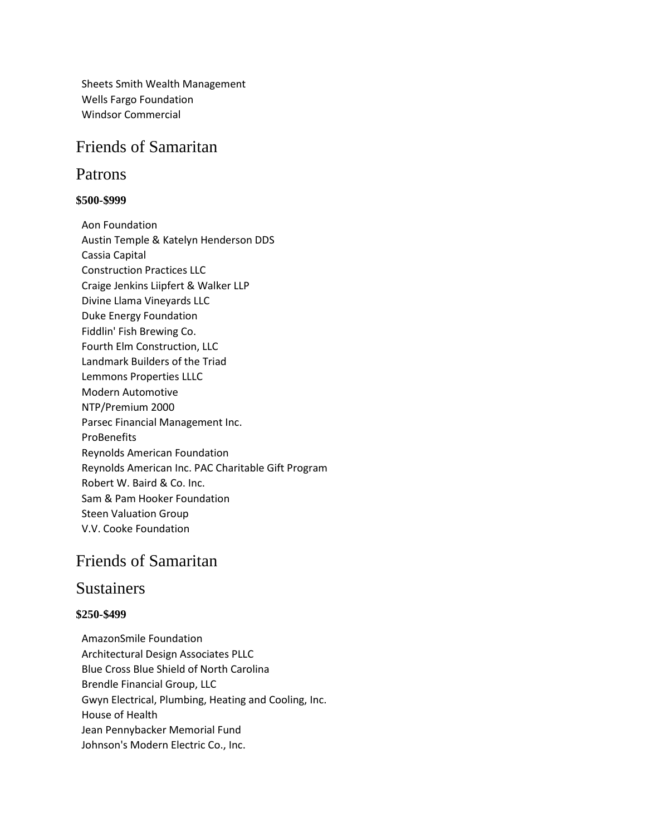Sheets Smith Wealth Management Wells Fargo Foundation Windsor Commercial

## Friends of Samaritan

#### Patrons

#### **\$500-\$999**

Aon Foundation Austin Temple & Katelyn Henderson DDS Cassia Capital Construction Practices LLC Craige Jenkins Liipfert & Walker LLP Divine Llama Vineyards LLC Duke Energy Foundation Fiddlin' Fish Brewing Co. Fourth Elm Construction, LLC Landmark Builders of the Triad Lemmons Properties LLLC Modern Automotive NTP/Premium 2000 Parsec Financial Management Inc. **ProBenefits** Reynolds American Foundation Reynolds American Inc. PAC Charitable Gift Program Robert W. Baird & Co. Inc. Sam & Pam Hooker Foundation Steen Valuation Group V.V. Cooke Foundation

### Friends of Samaritan

#### **Sustainers**

#### **\$250-\$499**

AmazonSmile Foundation Architectural Design Associates PLLC Blue Cross Blue Shield of North Carolina Brendle Financial Group, LLC Gwyn Electrical, Plumbing, Heating and Cooling, Inc. House of Health Jean Pennybacker Memorial Fund Johnson's Modern Electric Co., Inc.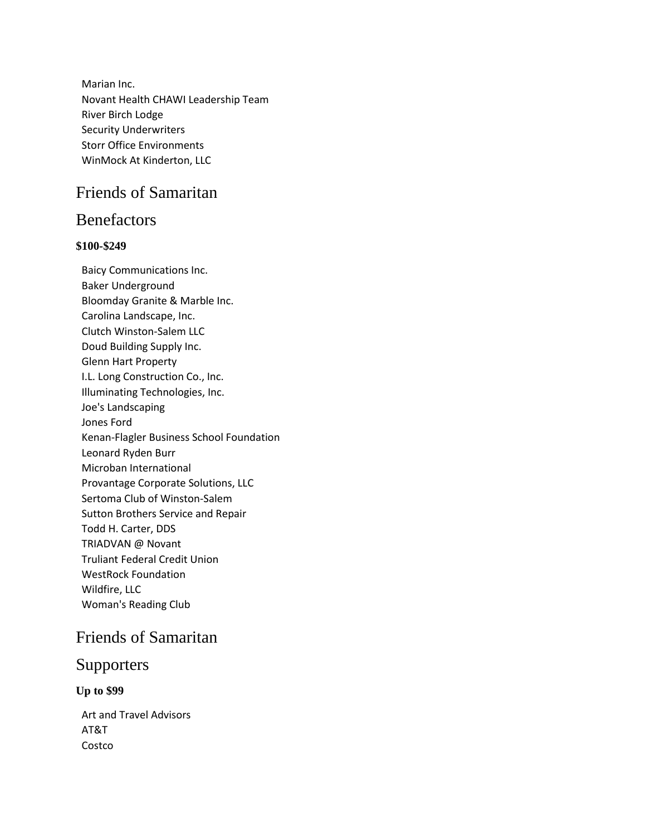Marian Inc. Novant Health CHAWI Leadership Team River Birch Lodge Security Underwriters Storr Office Environments WinMock At Kinderton, LLC

# Friends of Samaritan

# Benefactors

#### **\$100-\$249**

Baicy Communications Inc. Baker Underground Bloomday Granite & Marble Inc. Carolina Landscape, Inc. Clutch Winston-Salem LLC Doud Building Supply Inc. Glenn Hart Property I.L. Long Construction Co., Inc. Illuminating Technologies, Inc. Joe's Landscaping Jones Ford Kenan-Flagler Business School Foundation Leonard Ryden Burr Microban International Provantage Corporate Solutions, LLC Sertoma Club of Winston-Salem Sutton Brothers Service and Repair Todd H. Carter, DDS TRIADVAN @ Novant Truliant Federal Credit Union WestRock Foundation Wildfire, LLC Woman's Reading Club

# Friends of Samaritan

#### Supporters

#### **Up to \$99**

Art and Travel Advisors AT&T **Costco**